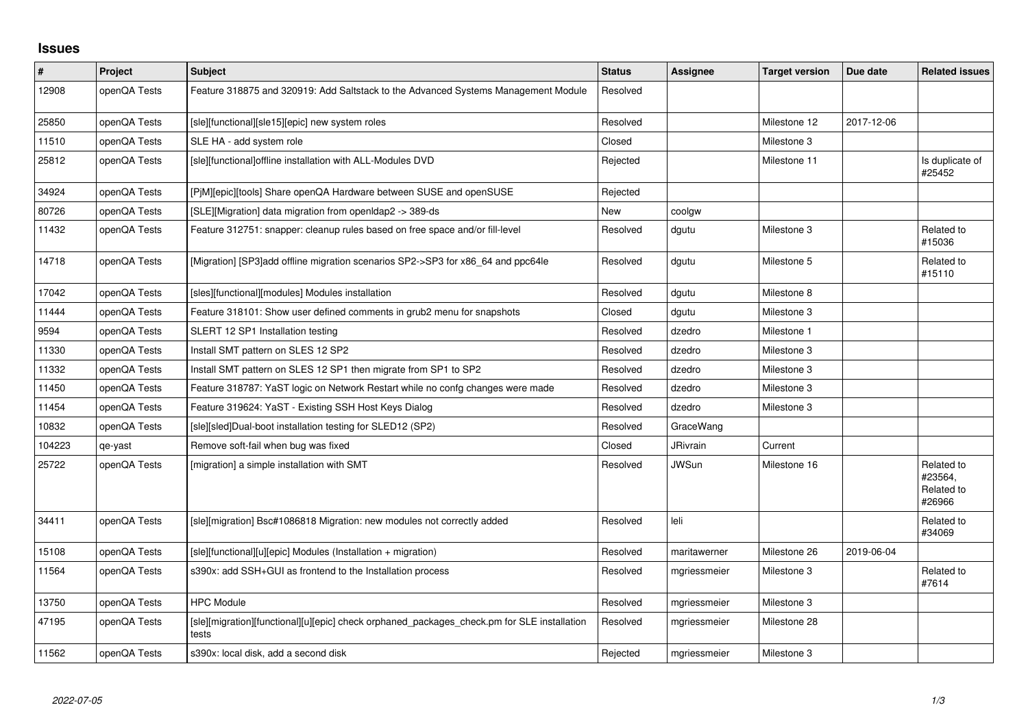## **Issues**

| $\vert$ # | Project      | <b>Subject</b>                                                                                       | <b>Status</b> | Assignee     | <b>Target version</b> | Due date   | <b>Related issues</b>                         |
|-----------|--------------|------------------------------------------------------------------------------------------------------|---------------|--------------|-----------------------|------------|-----------------------------------------------|
| 12908     | openQA Tests | Feature 318875 and 320919: Add Saltstack to the Advanced Systems Management Module                   | Resolved      |              |                       |            |                                               |
| 25850     | openQA Tests | [sle][functional][sle15][epic] new system roles                                                      | Resolved      |              | Milestone 12          | 2017-12-06 |                                               |
| 11510     | openQA Tests | SLE HA - add system role                                                                             | Closed        |              | Milestone 3           |            |                                               |
| 25812     | openQA Tests | [sle][functional]offline installation with ALL-Modules DVD                                           | Rejected      |              | Milestone 11          |            | Is duplicate of<br>#25452                     |
| 34924     | openQA Tests | [PjM][epic][tools] Share openQA Hardware between SUSE and openSUSE                                   | Rejected      |              |                       |            |                                               |
| 80726     | openQA Tests | [SLE][Migration] data migration from openIdap2 -> 389-ds                                             | <b>New</b>    | coolgw       |                       |            |                                               |
| 11432     | openQA Tests | Feature 312751: snapper: cleanup rules based on free space and/or fill-level                         | Resolved      | dgutu        | Milestone 3           |            | Related to<br>#15036                          |
| 14718     | openQA Tests | [Migration] [SP3]add offline migration scenarios SP2->SP3 for x86_64 and ppc64le                     | Resolved      | dgutu        | Milestone 5           |            | Related to<br>#15110                          |
| 17042     | openQA Tests | [sles][functional][modules] Modules installation                                                     | Resolved      | dgutu        | Milestone 8           |            |                                               |
| 11444     | openQA Tests | Feature 318101: Show user defined comments in grub2 menu for snapshots                               | Closed        | dgutu        | Milestone 3           |            |                                               |
| 9594      | openQA Tests | SLERT 12 SP1 Installation testing                                                                    | Resolved      | dzedro       | Milestone 1           |            |                                               |
| 11330     | openQA Tests | Install SMT pattern on SLES 12 SP2                                                                   | Resolved      | dzedro       | Milestone 3           |            |                                               |
| 11332     | openQA Tests | Install SMT pattern on SLES 12 SP1 then migrate from SP1 to SP2                                      | Resolved      | dzedro       | Milestone 3           |            |                                               |
| 11450     | openQA Tests | Feature 318787: YaST logic on Network Restart while no confg changes were made                       | Resolved      | dzedro       | Milestone 3           |            |                                               |
| 11454     | openQA Tests | Feature 319624: YaST - Existing SSH Host Keys Dialog                                                 | Resolved      | dzedro       | Milestone 3           |            |                                               |
| 10832     | openQA Tests | [sle][sled]Dual-boot installation testing for SLED12 (SP2)                                           | Resolved      | GraceWang    |                       |            |                                               |
| 104223    | qe-yast      | Remove soft-fail when bug was fixed                                                                  | Closed        | JRivrain     | Current               |            |                                               |
| 25722     | openQA Tests | [migration] a simple installation with SMT                                                           | Resolved      | <b>JWSun</b> | Milestone 16          |            | Related to<br>#23564,<br>Related to<br>#26966 |
| 34411     | openQA Tests | [sle][migration] Bsc#1086818 Migration: new modules not correctly added                              | Resolved      | leli         |                       |            | Related to<br>#34069                          |
| 15108     | openQA Tests | [sle][functional][u][epic] Modules (Installation + migration)                                        | Resolved      | maritawerner | Milestone 26          | 2019-06-04 |                                               |
| 11564     | openQA Tests | s390x: add SSH+GUI as frontend to the Installation process                                           | Resolved      | mgriessmeier | Milestone 3           |            | Related to<br>#7614                           |
| 13750     | openQA Tests | <b>HPC Module</b>                                                                                    | Resolved      | mgriessmeier | Milestone 3           |            |                                               |
| 47195     | openQA Tests | [sle][migration][functional][u][epic] check orphaned_packages_check.pm for SLE installation<br>tests | Resolved      | mgriessmeier | Milestone 28          |            |                                               |
| 11562     | openQA Tests | s390x: local disk, add a second disk                                                                 | Rejected      | mgriessmeier | Milestone 3           |            |                                               |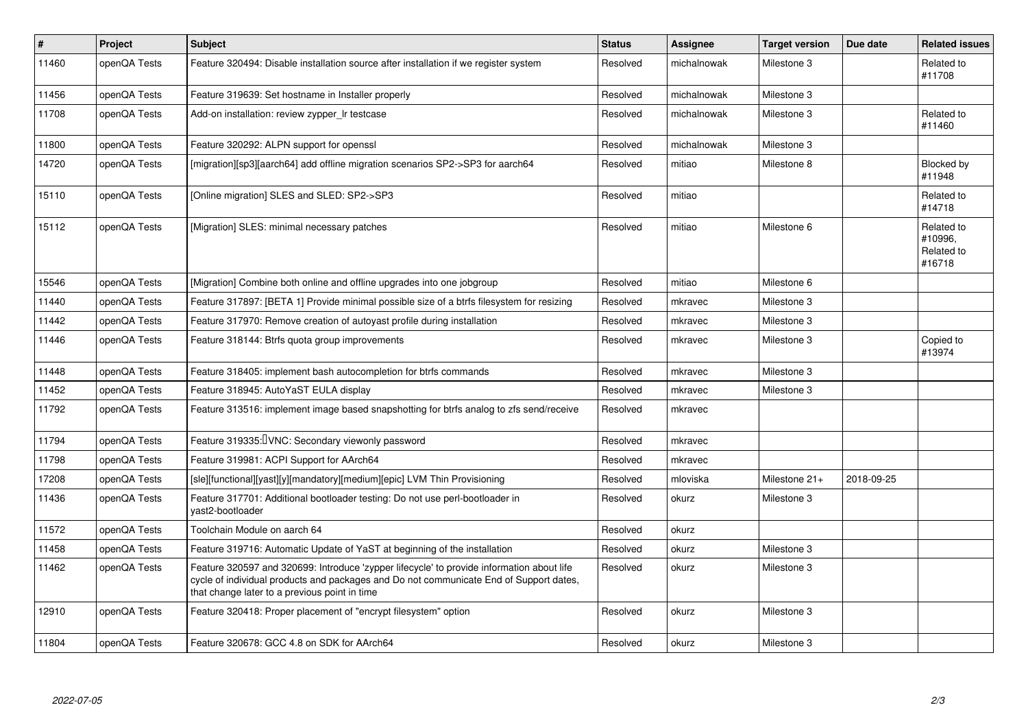| $\vert$ # | <b>Project</b> | <b>Subject</b>                                                                                                                                                                                                                       | <b>Status</b> | <b>Assignee</b> | <b>Target version</b> | Due date   | <b>Related issues</b>                         |
|-----------|----------------|--------------------------------------------------------------------------------------------------------------------------------------------------------------------------------------------------------------------------------------|---------------|-----------------|-----------------------|------------|-----------------------------------------------|
| 11460     | openQA Tests   | Feature 320494: Disable installation source after installation if we register system                                                                                                                                                 | Resolved      | michalnowak     | Milestone 3           |            | Related to<br>#11708                          |
| 11456     | openQA Tests   | Feature 319639: Set hostname in Installer properly                                                                                                                                                                                   | Resolved      | michalnowak     | Milestone 3           |            |                                               |
| 11708     | openQA Tests   | Add-on installation: review zypper_Ir testcase                                                                                                                                                                                       | Resolved      | michalnowak     | Milestone 3           |            | Related to<br>#11460                          |
| 11800     | openQA Tests   | Feature 320292: ALPN support for openssl                                                                                                                                                                                             | Resolved      | michalnowak     | Milestone 3           |            |                                               |
| 14720     | openQA Tests   | [migration][sp3][aarch64] add offline migration scenarios SP2->SP3 for aarch64                                                                                                                                                       | Resolved      | mitiao          | Milestone 8           |            | Blocked by<br>#11948                          |
| 15110     | openQA Tests   | [Online migration] SLES and SLED: SP2->SP3                                                                                                                                                                                           | Resolved      | mitiao          |                       |            | Related to<br>#14718                          |
| 15112     | openQA Tests   | [Migration] SLES: minimal necessary patches                                                                                                                                                                                          | Resolved      | mitiao          | Milestone 6           |            | Related to<br>#10996.<br>Related to<br>#16718 |
| 15546     | openQA Tests   | [Migration] Combine both online and offline upgrades into one jobgroup                                                                                                                                                               | Resolved      | mitiao          | Milestone 6           |            |                                               |
| 11440     | openQA Tests   | Feature 317897: [BETA 1] Provide minimal possible size of a btrfs filesystem for resizing                                                                                                                                            | Resolved      | mkravec         | Milestone 3           |            |                                               |
| 11442     | openQA Tests   | Feature 317970: Remove creation of autoyast profile during installation                                                                                                                                                              | Resolved      | mkravec         | Milestone 3           |            |                                               |
| 11446     | openQA Tests   | Feature 318144: Btrfs quota group improvements                                                                                                                                                                                       | Resolved      | mkravec         | Milestone 3           |            | Copied to<br>#13974                           |
| 11448     | openQA Tests   | Feature 318405: implement bash autocompletion for btrfs commands                                                                                                                                                                     | Resolved      | mkravec         | Milestone 3           |            |                                               |
| 11452     | openQA Tests   | Feature 318945: AutoYaST EULA display                                                                                                                                                                                                | Resolved      | mkravec         | Milestone 3           |            |                                               |
| 11792     | openQA Tests   | Feature 313516: implement image based snapshotting for btrfs analog to zfs send/receive                                                                                                                                              | Resolved      | mkravec         |                       |            |                                               |
| 11794     | openQA Tests   | Feature 319335: VNC: Secondary viewonly password                                                                                                                                                                                     | Resolved      | mkravec         |                       |            |                                               |
| 11798     | openQA Tests   | Feature 319981: ACPI Support for AArch64                                                                                                                                                                                             | Resolved      | mkravec         |                       |            |                                               |
| 17208     | openQA Tests   | [sle][functional][yast][y][mandatory][medium][epic] LVM Thin Provisioning                                                                                                                                                            | Resolved      | mloviska        | Milestone 21+         | 2018-09-25 |                                               |
| 11436     | openQA Tests   | Feature 317701: Additional bootloader testing: Do not use perl-bootloader in<br>vast2-bootloader                                                                                                                                     | Resolved      | okurz           | Milestone 3           |            |                                               |
| 11572     | openQA Tests   | Toolchain Module on aarch 64                                                                                                                                                                                                         | Resolved      | okurz           |                       |            |                                               |
| 11458     | openQA Tests   | Feature 319716: Automatic Update of YaST at beginning of the installation                                                                                                                                                            | Resolved      | okurz           | Milestone 3           |            |                                               |
| 11462     | openQA Tests   | Feature 320597 and 320699: Introduce 'zypper lifecycle' to provide information about life<br>cycle of individual products and packages and Do not communicate End of Support dates,<br>that change later to a previous point in time | Resolved      | okurz           | Milestone 3           |            |                                               |
| 12910     | openQA Tests   | Feature 320418: Proper placement of "encrypt filesystem" option                                                                                                                                                                      | Resolved      | okurz           | Milestone 3           |            |                                               |
| 11804     | openQA Tests   | Feature 320678: GCC 4.8 on SDK for AArch64                                                                                                                                                                                           | Resolved      | okurz           | Milestone 3           |            |                                               |